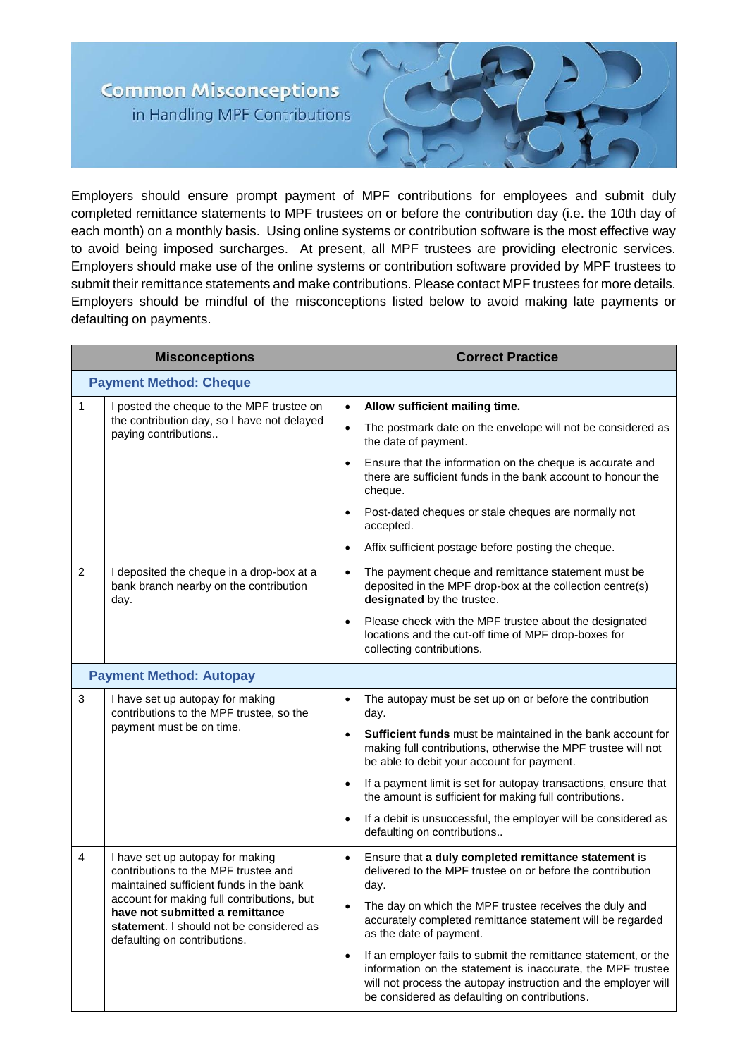## **Common Misconceptions** in Handling MPF Contributions



Employers should ensure prompt payment of MPF contributions for employees and submit duly completed remittance statements to MPF trustees on or before the contribution day (i.e. the 10th day of each month) on a monthly basis. Using online systems or contribution software is the most effective way to avoid being imposed surcharges. At present, all MPF trustees are providing electronic services. Employers should make use of the online systems or contribution software provided by MPF trustees to submit their remittance statements and make contributions. Please contact MPF trustees for more details. Employers should be mindful of the misconceptions listed below to avoid making late payments or defaulting on payments.

| <b>Misconceptions</b>          |                                                                                                                                                                                                                                                                                  | <b>Correct Practice</b>                                                                                                                                                                                                                                        |  |
|--------------------------------|----------------------------------------------------------------------------------------------------------------------------------------------------------------------------------------------------------------------------------------------------------------------------------|----------------------------------------------------------------------------------------------------------------------------------------------------------------------------------------------------------------------------------------------------------------|--|
| <b>Payment Method: Cheque</b>  |                                                                                                                                                                                                                                                                                  |                                                                                                                                                                                                                                                                |  |
| $\mathbf{1}$                   | I posted the cheque to the MPF trustee on<br>the contribution day, so I have not delayed<br>paying contributions                                                                                                                                                                 | Allow sufficient mailing time.<br>$\bullet$                                                                                                                                                                                                                    |  |
|                                |                                                                                                                                                                                                                                                                                  | The postmark date on the envelope will not be considered as<br>$\bullet$<br>the date of payment.                                                                                                                                                               |  |
|                                |                                                                                                                                                                                                                                                                                  | Ensure that the information on the cheque is accurate and<br>$\bullet$<br>there are sufficient funds in the bank account to honour the<br>cheque.                                                                                                              |  |
|                                |                                                                                                                                                                                                                                                                                  | Post-dated cheques or stale cheques are normally not<br>accepted.                                                                                                                                                                                              |  |
|                                |                                                                                                                                                                                                                                                                                  | Affix sufficient postage before posting the cheque.<br>$\bullet$                                                                                                                                                                                               |  |
| 2                              | I deposited the cheque in a drop-box at a<br>bank branch nearby on the contribution<br>day.                                                                                                                                                                                      | The payment cheque and remittance statement must be<br>$\bullet$<br>deposited in the MPF drop-box at the collection centre(s)<br>designated by the trustee.                                                                                                    |  |
|                                |                                                                                                                                                                                                                                                                                  | Please check with the MPF trustee about the designated<br>$\bullet$<br>locations and the cut-off time of MPF drop-boxes for<br>collecting contributions.                                                                                                       |  |
| <b>Payment Method: Autopay</b> |                                                                                                                                                                                                                                                                                  |                                                                                                                                                                                                                                                                |  |
| 3                              | I have set up autopay for making<br>contributions to the MPF trustee, so the<br>payment must be on time.                                                                                                                                                                         | The autopay must be set up on or before the contribution<br>$\bullet$<br>day.                                                                                                                                                                                  |  |
|                                |                                                                                                                                                                                                                                                                                  | <b>Sufficient funds</b> must be maintained in the bank account for<br>$\bullet$<br>making full contributions, otherwise the MPF trustee will not<br>be able to debit your account for payment.                                                                 |  |
|                                |                                                                                                                                                                                                                                                                                  | If a payment limit is set for autopay transactions, ensure that<br>$\bullet$<br>the amount is sufficient for making full contributions.                                                                                                                        |  |
|                                |                                                                                                                                                                                                                                                                                  | If a debit is unsuccessful, the employer will be considered as<br>$\bullet$<br>defaulting on contributions                                                                                                                                                     |  |
| 4                              | I have set up autopay for making<br>contributions to the MPF trustee and<br>maintained sufficient funds in the bank<br>account for making full contributions, but<br>have not submitted a remittance<br>statement. I should not be considered as<br>defaulting on contributions. | Ensure that a duly completed remittance statement is<br>delivered to the MPF trustee on or before the contribution<br>day.                                                                                                                                     |  |
|                                |                                                                                                                                                                                                                                                                                  | The day on which the MPF trustee receives the duly and<br>$\bullet$<br>accurately completed remittance statement will be regarded<br>as the date of payment.                                                                                                   |  |
|                                |                                                                                                                                                                                                                                                                                  | If an employer fails to submit the remittance statement, or the<br>$\bullet$<br>information on the statement is inaccurate, the MPF trustee<br>will not process the autopay instruction and the employer will<br>be considered as defaulting on contributions. |  |